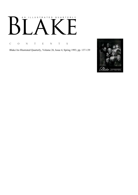# AN ILLUSTRATED QUARTERLY  $\overline{1}$  $\mathbf{L}$  $\boldsymbol{\mathsf{B}}$

C O N T E N T S

Blake/An Illustrated Quarterly, Volume 26, Issue 4, Spring 1993, pp. 137-139

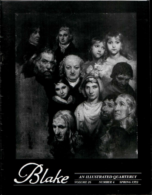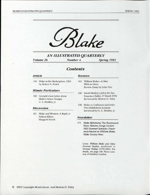

*AN ILLUSTRATED QUARTERLY Volume 26 Number 4 Spring 1993* 

## *Contents*

### *Article*

140 Blake in the Marketplace, 1992 by Robert N. Essick

### *Minute Particulars*

160 Cromek's Lost Letter about Blake's Grave Designs G. E. Bentley, Jr.

### *Discussion*

161 Blake and Women: A Reply to Nelson Hilton Margaret Storch

#### *Reviews*

- 162 William Blake—A Man Without Marx Review Essay by John Vice
- 166 David Bintley's Job at the San Francisco Ballet, 17 March 1992 Reviewed by Morton D. Paley
- 168 Blake as Craftsman and Artist: Two Exhibitions in Japan Reviewed by G. E. Bentley, Jr.

#### *Newsletter*

171 *Blake Ephemera,* The Illuminated Blake *Returns,* Songs *Lecture, NEH Summer Seminar, Power and Passion in William Blake, Blake Society News* 

> Cover: *William Blake and Other Portrait Studies,* attributed to Thomas Phillips (1770-1845). For details, see page 148. Photo courtesy of Sotheby's London.